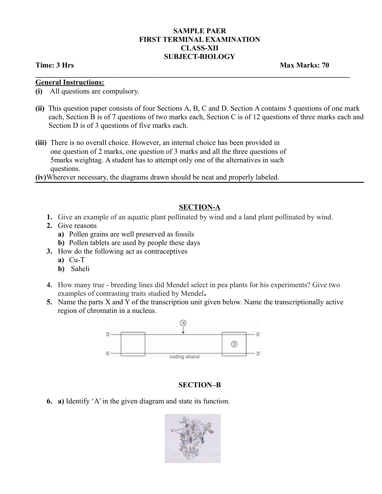### **SAMPLE PAER FIRST TERMINAL EXAMINATION CLASS-XII SUBJECT-BIOLOGY**

**\_\_\_\_\_\_\_\_\_\_\_\_\_\_\_\_\_\_\_\_\_\_\_\_\_\_\_\_\_\_\_\_\_\_\_\_\_\_\_\_\_\_\_\_\_\_\_\_\_\_\_\_\_\_\_\_\_\_\_\_\_\_\_\_\_\_\_\_\_\_\_\_\_\_\_\_\_\_\_\_\_\_\_\_** 

**Time: 3 Hrs** Max Marks: 70

#### **General Instructions:**

- **(i)** All questions are compulsory.
- **(ii)** This question paper consists of four Sections A, B, C and D. Section A contains 5 questions of one mark each, Section B is of 7 questions of two marks each, Section C is of 12 questions of three marks each and Section D is of 3 questions of five marks each.
- **(iii)** There is no overall choice. However, an internal choice has been provided in one question of 2 marks, one question of 3 marks and all the three questions of 5marks weightag. A student has to attempt only one of the alternatives in such questions.

**(iv)**Wherever necessary, the diagrams drawn should be neat and properly labeled.

## **SECTION-A**

- **1.** Give an example of an aquatic plant pollinated by wind and a land plant pollinated by wind.
- **2.** Give reasons
	- **a)** Pollen grains are well preserved as fossils
	- **b)** Pollen tablets are used by people these days
- **3.** How do the following act as contraceptives
	- **a)** Cu-T
	- **b)** Saheli
- **4.** How many true breeding lines did Mendel select in pea plants for his experiments? Give two examples of contrasting traits studied by Mendel**.**
- **5.** Name the parts X and Y of the transcription unit given below. Name the transcriptionally active region of chromatin in a nucleus.



## **SECTION–B**

**6. a)** Identify 'A' in the given diagram and state its function.

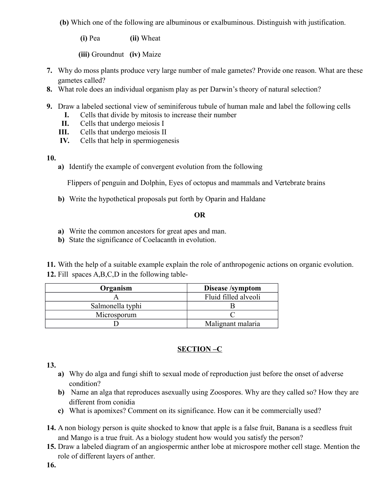**(b)** Which one of the following are albuminous or exalbuminous. Distinguish with justification.

**(i)** Pea **(ii)** Wheat

**(iii)** Groundnut **(iv)** Maize

- **7.** Why do moss plants produce very large number of male gametes? Provide one reason. What are these gametes called?
- **8.** What role does an individual organism play as per Darwin's theory of natural selection?
- **9.** Draw a labeled sectional view of seminiferous tubule of human male and label the following cells
	- **I.** Cells that divide by mitosis to increase their number
	- **II.** Cells that undergo meiosis I
	- **III.** Cells that undergo meiosis II
	- **IV.** Cells that help in spermiogenesis
- **10.**
	- **a)** Identify the example of convergent evolution from the following

Flippers of penguin and Dolphin, Eyes of octopus and mammals and Vertebrate brains

**b)** Write the hypothetical proposals put forth by Oparin and Haldane

## **OR**

- **a)** Write the common ancestors for great apes and man.
- **b)** State the significance of Coelacanth in evolution.

**11.** With the help of a suitable example explain the role of anthropogenic actions on organic evolution. **12.** Fill spaces A,B,C,D in the following table-

| Organism         | Disease /symptom     |
|------------------|----------------------|
|                  | Fluid filled alveoli |
| Salmonella typhi |                      |
| Microsporum      |                      |
|                  | Malignant malaria    |

# **SECTION –C**

# **13.**

- **a)** Why do alga and fungi shift to sexual mode of reproduction just before the onset of adverse condition?
- **b)** Name an alga that reproduces asexually using Zoospores. Why are they called so? How they are different from conidia
- **c)** What is apomixes? Comment on its significance. How can it be commercially used?
- **14.** A non biology person is quite shocked to know that apple is a false fruit, Banana is a seedless fruit and Mango is a true fruit. As a biology student how would you satisfy the person?
- **15.** Draw a labeled diagram of an angiospermic anther lobe at microspore mother cell stage. Mention the role of different layers of anther.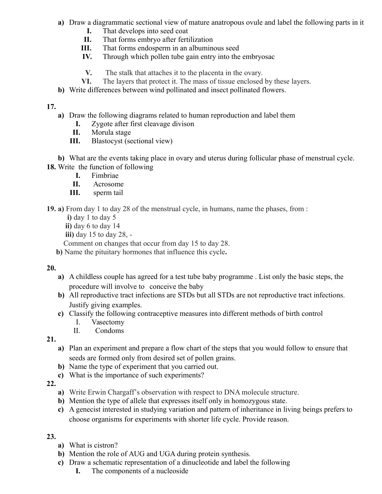- **a)** Draw a diagrammatic sectional view of mature anatropous ovule and label the following parts in it
	- **I.** That develops into seed coat
	- **II.** That forms embryo after fertilization
	- **III.** That forms endosperm in an albuminous seed
	- **IV.** Through which pollen tube gain entry into the embryosac
	- **V.** The stalk that attaches it to the placenta in the ovary.
	- **VI.** The layers that protect it. The mass of tissue enclosed by these layers.
- **b)** Write differences between wind pollinated and insect pollinated flowers.

## **17.**

- **a)** Draw the following diagrams related to human reproduction and label them
	- **I.** Zygote after first cleavage divison
	- **II.** Morula stage
	- **III.** Blastocyst (sectional view)

**b)** What are the events taking place in ovary and uterus during follicular phase of menstrual cycle. **18.** Write the function of following

- **I.** Fimbriae
- **II.** Acrosome
- **III.** sperm tail

**19. a)** From day 1 to day 28 of the menstrual cycle, in humans, name the phases, from :

- **i)** day 1 to day 5
- **ii)** day 6 to day 14
- **iii)** day 15 to day 28, -

Comment on changes that occur from day 15 to day 28.

 **b)** Name the pituitary hormones that influence this cycle**.**

## **20.**

- **a)** A childless couple has agreed for a test tube baby programme . List only the basic steps, the procedure will involve to conceive the baby
- **b)** All reproductive tract infections are STDs but all STDs are not reproductive tract infections. Justify giving examples.
- **c)** Classify the following contraceptive measures into different methods of birth control
	- I. Vasectomy
	- II. Condoms

**21.**

- **a)** Plan an experiment and prepare a flow chart of the steps that you would follow to ensure that seeds are formed only from desired set of pollen grains.
- **b)** Name the type of experiment that you carried out.
- **c)** What is the importance of such experiments?
- **22.**
	- **a)** Write Erwin Chargaff's observation with respect to DNA molecule structure.
	- **b)** Mention the type of allele that expresses itself only in homozygous state.
	- **c)** A genecist interested in studying variation and pattern of inheritance in living beings prefers to choose organisms for experiments with shorter life cycle. Provide reason.

# **23.**

- **a)** What is cistron?
- **b)** Mention the role of AUG and UGA during protein synthesis.
- **c)** Draw a schematic representation of a dinucleotide and label the following
	- **I.** The components of a nucleoside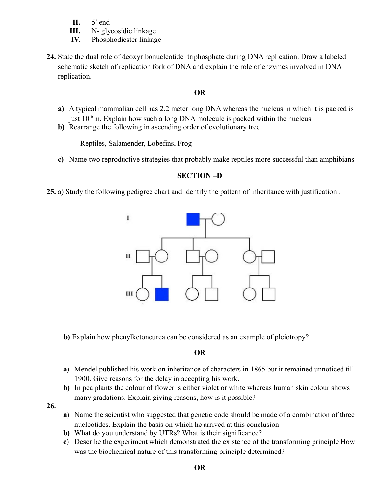- **II.** 5' end
- **III.** N- glycosidic linkage
- **IV.** Phosphodiester linkage
- **24.** State the dual role of deoxyribonucleotide triphosphate during DNA replication. Draw a labeled schematic sketch of replication fork of DNA and explain the role of enzymes involved in DNA replication.

## **OR**

- **a)** A typical mammalian cell has 2.2 meter long DNA whereas the nucleus in which it is packed is just  $10^{-6}$  m. Explain how such a long DNA molecule is packed within the nucleus.
- **b)** Rearrange the following in ascending order of evolutionary tree

Reptiles, Salamender, Lobefins, Frog

**c)** Name two reproductive strategies that probably make reptiles more successful than amphibians

## **SECTION –D**

**25.** a) Study the following pedigree chart and identify the pattern of inheritance with justification .



**b)** Explain how phenylketoneurea can be considered as an example of pleiotropy?

#### **OR**

- **a)** Mendel published his work on inheritance of characters in 1865 but it remained unnoticed till 1900. Give reasons for the delay in accepting his work.
- **b)** In pea plants the colour of flower is either violet or white whereas human skin colour shows many gradations. Explain giving reasons, how is it possible?

**26.**

- **a)** Name the scientist who suggested that genetic code should be made of a combination of three nucleotides. Explain the basis on which he arrived at this conclusion
- **b**) What do you understand by UTRs? What is their significance?
- **c)** Describe the experiment which demonstrated the existence of the transforming principle How was the biochemical nature of this transforming principle determined?